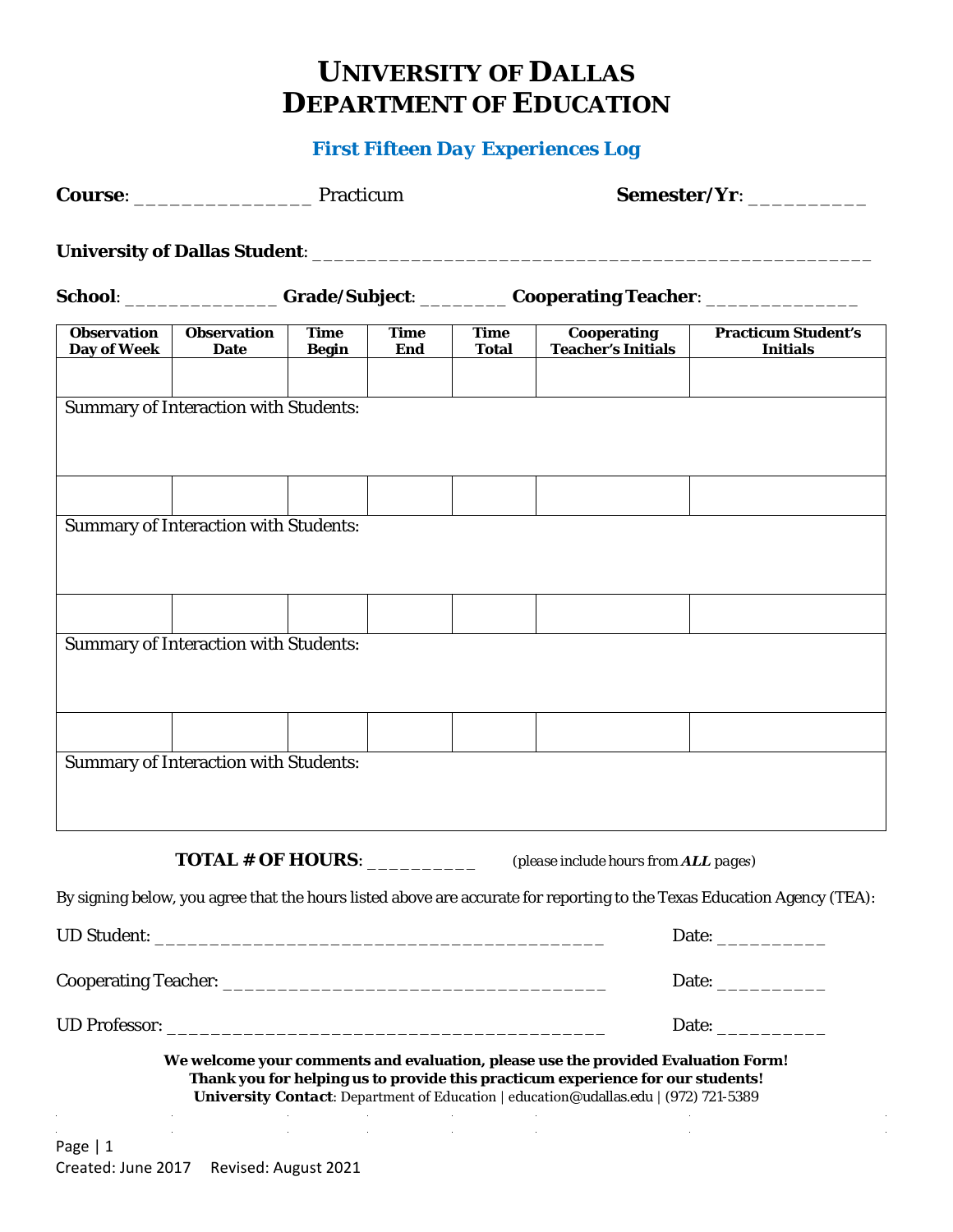## **UNIVERSITY OF DALLAS DEPARTMENT OF EDUCATION**

## *First Fifteen Day Experiences Log*

|                                   |                                              |                             |                    |                                                                                   | Semester/Yr: ____________                                                                                                                                                                                                                                    |                                                                                                                         |  |  |
|-----------------------------------|----------------------------------------------|-----------------------------|--------------------|-----------------------------------------------------------------------------------|--------------------------------------------------------------------------------------------------------------------------------------------------------------------------------------------------------------------------------------------------------------|-------------------------------------------------------------------------------------------------------------------------|--|--|
|                                   |                                              |                             |                    |                                                                                   |                                                                                                                                                                                                                                                              |                                                                                                                         |  |  |
|                                   |                                              |                             |                    | School: ________________Grade/Subject: _________Cooperating Teacher: ____________ |                                                                                                                                                                                                                                                              |                                                                                                                         |  |  |
| <b>Observation</b><br>Day of Week | <b>Observation</b><br><b>Date</b>            | <b>Time</b><br><b>Begin</b> | <b>Time</b><br>End | <b>Time</b><br><b>Total</b>                                                       | <b>Cooperating</b><br><b>Teacher's Initials</b>                                                                                                                                                                                                              | <b>Practicum Student's</b><br><b>Initials</b>                                                                           |  |  |
|                                   |                                              |                             |                    |                                                                                   |                                                                                                                                                                                                                                                              |                                                                                                                         |  |  |
|                                   | <b>Summary of Interaction with Students:</b> |                             |                    |                                                                                   |                                                                                                                                                                                                                                                              |                                                                                                                         |  |  |
|                                   |                                              |                             |                    |                                                                                   |                                                                                                                                                                                                                                                              |                                                                                                                         |  |  |
|                                   |                                              |                             |                    |                                                                                   |                                                                                                                                                                                                                                                              |                                                                                                                         |  |  |
|                                   | <b>Summary of Interaction with Students:</b> |                             |                    |                                                                                   |                                                                                                                                                                                                                                                              |                                                                                                                         |  |  |
|                                   |                                              |                             |                    |                                                                                   |                                                                                                                                                                                                                                                              |                                                                                                                         |  |  |
|                                   |                                              |                             |                    |                                                                                   |                                                                                                                                                                                                                                                              |                                                                                                                         |  |  |
|                                   | <b>Summary of Interaction with Students:</b> |                             |                    |                                                                                   |                                                                                                                                                                                                                                                              |                                                                                                                         |  |  |
|                                   |                                              |                             |                    |                                                                                   |                                                                                                                                                                                                                                                              |                                                                                                                         |  |  |
|                                   |                                              |                             |                    |                                                                                   |                                                                                                                                                                                                                                                              |                                                                                                                         |  |  |
|                                   |                                              |                             |                    |                                                                                   |                                                                                                                                                                                                                                                              |                                                                                                                         |  |  |
|                                   | <b>Summary of Interaction with Students:</b> |                             |                    |                                                                                   |                                                                                                                                                                                                                                                              |                                                                                                                         |  |  |
|                                   |                                              |                             |                    |                                                                                   |                                                                                                                                                                                                                                                              |                                                                                                                         |  |  |
|                                   | TOTAL # OF HOURS: _________                  |                             |                    |                                                                                   | (please include hours from ALL pages)                                                                                                                                                                                                                        |                                                                                                                         |  |  |
|                                   |                                              |                             |                    |                                                                                   |                                                                                                                                                                                                                                                              | By signing below, you agree that the hours listed above are accurate for reporting to the Texas Education Agency (TEA): |  |  |
|                                   |                                              |                             |                    |                                                                                   |                                                                                                                                                                                                                                                              |                                                                                                                         |  |  |
|                                   |                                              |                             |                    |                                                                                   |                                                                                                                                                                                                                                                              |                                                                                                                         |  |  |
|                                   |                                              |                             |                    |                                                                                   |                                                                                                                                                                                                                                                              |                                                                                                                         |  |  |
|                                   |                                              |                             |                    |                                                                                   | Date: $\qquad \qquad$                                                                                                                                                                                                                                        |                                                                                                                         |  |  |
|                                   |                                              |                             |                    |                                                                                   | We welcome your comments and evaluation, please use the provided Evaluation Form!<br>Thank you for helping us to provide this practicum experience for our students!<br>University Contact: Department of Education   education@udallas.edu   (972) 721-5389 |                                                                                                                         |  |  |
| Page   1                          |                                              |                             |                    |                                                                                   |                                                                                                                                                                                                                                                              |                                                                                                                         |  |  |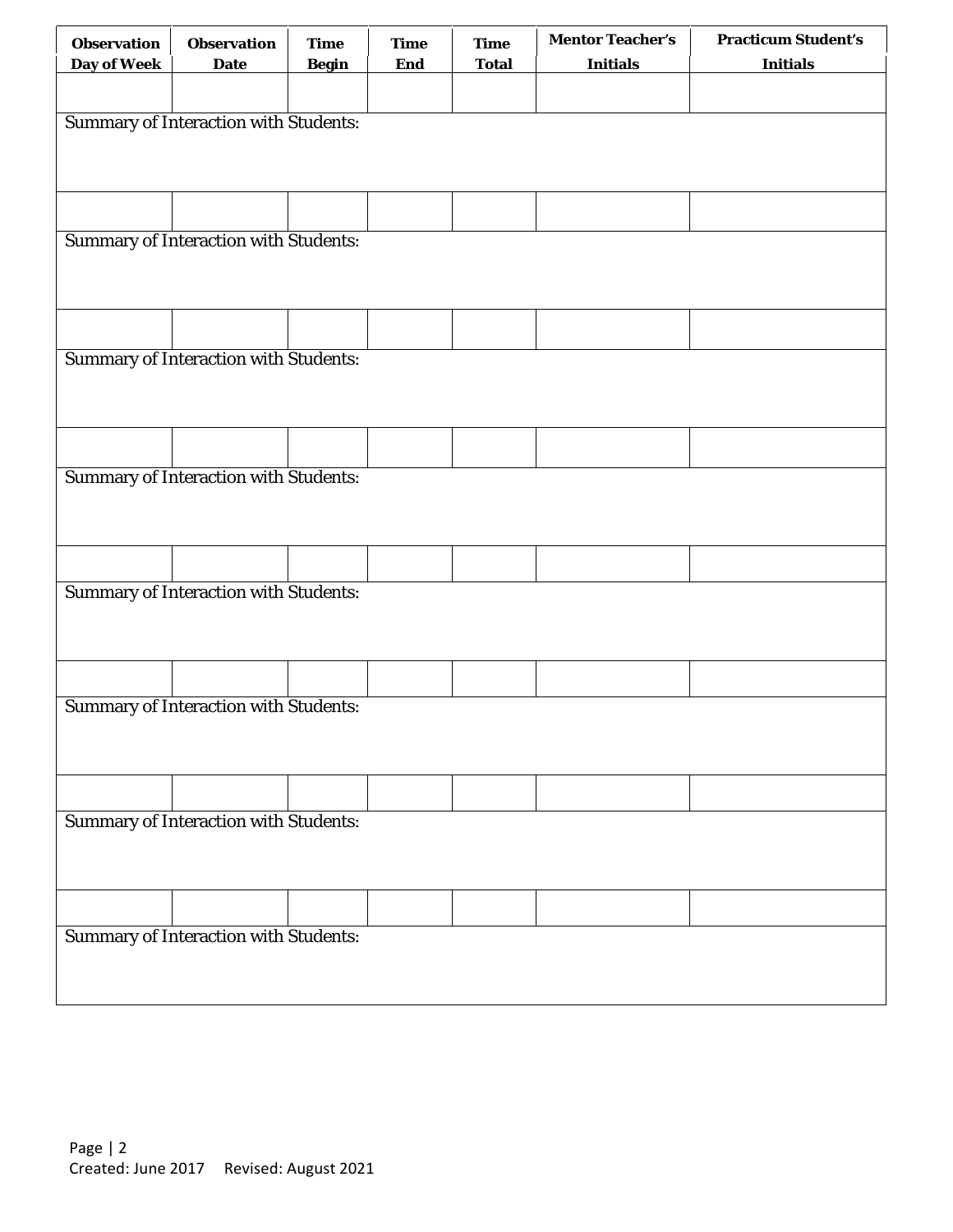| <b>Observation</b>                           | <b>Observation</b>                           | <b>Time</b>  | <b>Time</b> | <b>Time</b>  | <b>Mentor Teacher's</b> | <b>Practicum Student's</b> |  |  |  |
|----------------------------------------------|----------------------------------------------|--------------|-------------|--------------|-------------------------|----------------------------|--|--|--|
| Day of Week                                  | <b>Date</b>                                  | <b>Begin</b> | End         | <b>Total</b> | <b>Initials</b>         | <b>Initials</b>            |  |  |  |
|                                              |                                              |              |             |              |                         |                            |  |  |  |
|                                              |                                              |              |             |              |                         |                            |  |  |  |
|                                              | <b>Summary of Interaction with Students:</b> |              |             |              |                         |                            |  |  |  |
|                                              |                                              |              |             |              |                         |                            |  |  |  |
|                                              |                                              |              |             |              |                         |                            |  |  |  |
|                                              |                                              |              |             |              |                         |                            |  |  |  |
|                                              | <b>Summary of Interaction with Students:</b> |              |             |              |                         |                            |  |  |  |
|                                              |                                              |              |             |              |                         |                            |  |  |  |
|                                              |                                              |              |             |              |                         |                            |  |  |  |
|                                              |                                              |              |             |              |                         |                            |  |  |  |
|                                              |                                              |              |             |              |                         |                            |  |  |  |
|                                              | <b>Summary of Interaction with Students:</b> |              |             |              |                         |                            |  |  |  |
|                                              |                                              |              |             |              |                         |                            |  |  |  |
|                                              |                                              |              |             |              |                         |                            |  |  |  |
|                                              |                                              |              |             |              |                         |                            |  |  |  |
|                                              |                                              |              |             |              |                         |                            |  |  |  |
|                                              | <b>Summary of Interaction with Students:</b> |              |             |              |                         |                            |  |  |  |
|                                              |                                              |              |             |              |                         |                            |  |  |  |
|                                              |                                              |              |             |              |                         |                            |  |  |  |
|                                              |                                              |              |             |              |                         |                            |  |  |  |
|                                              |                                              |              |             |              |                         |                            |  |  |  |
|                                              | <b>Summary of Interaction with Students:</b> |              |             |              |                         |                            |  |  |  |
|                                              |                                              |              |             |              |                         |                            |  |  |  |
|                                              |                                              |              |             |              |                         |                            |  |  |  |
|                                              |                                              |              |             |              |                         |                            |  |  |  |
|                                              |                                              |              |             |              |                         |                            |  |  |  |
| <b>Summary of Interaction with Students:</b> |                                              |              |             |              |                         |                            |  |  |  |
|                                              |                                              |              |             |              |                         |                            |  |  |  |
|                                              |                                              |              |             |              |                         |                            |  |  |  |
|                                              |                                              |              |             |              |                         |                            |  |  |  |
|                                              |                                              |              |             |              |                         |                            |  |  |  |
| <b>Summary of Interaction with Students:</b> |                                              |              |             |              |                         |                            |  |  |  |
|                                              |                                              |              |             |              |                         |                            |  |  |  |
|                                              |                                              |              |             |              |                         |                            |  |  |  |
|                                              |                                              |              |             |              |                         |                            |  |  |  |
|                                              |                                              |              |             |              |                         |                            |  |  |  |
| <b>Summary of Interaction with Students:</b> |                                              |              |             |              |                         |                            |  |  |  |
|                                              |                                              |              |             |              |                         |                            |  |  |  |
|                                              |                                              |              |             |              |                         |                            |  |  |  |